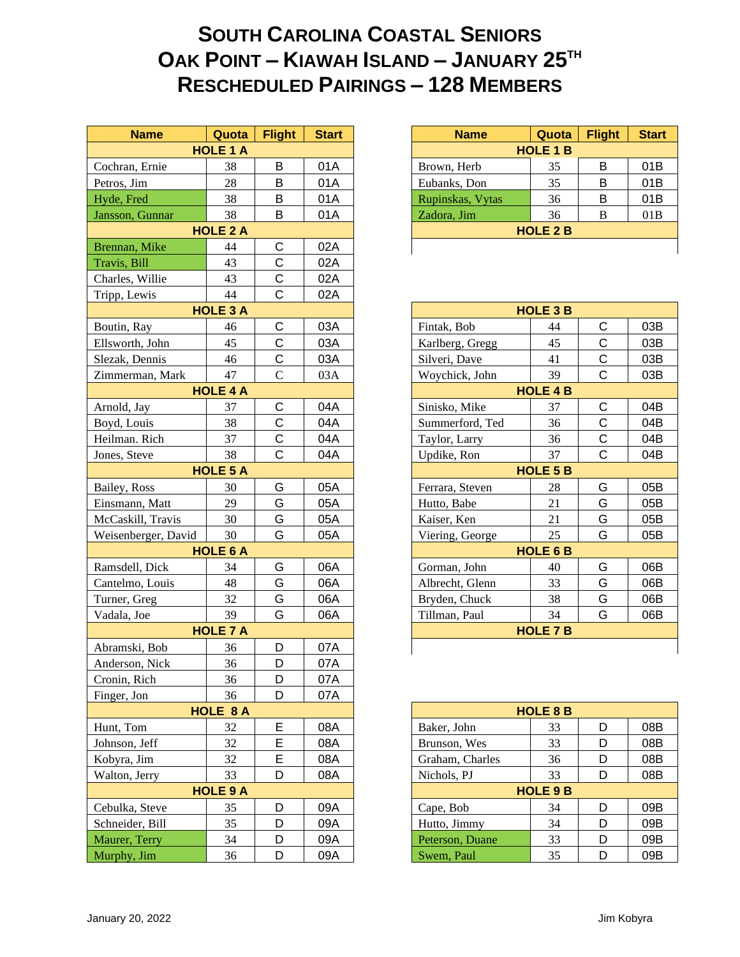## **SOUTH CAROLINA COASTAL SENIORS OAK POINT – KIAWAH ISLAND – JANUARY 25TH RESCHEDULED PAIRINGS – 128 MEMBERS**

| <b>Name</b>         | Quota           | <b>Flight</b> | <b>Start</b> | <b>Name</b>      | Quota           | <b>Flight</b> | <b>Star</b> |  |  |
|---------------------|-----------------|---------------|--------------|------------------|-----------------|---------------|-------------|--|--|
|                     | <b>HOLE 1 A</b> |               |              |                  | <b>HOLE 1 B</b> |               |             |  |  |
| Cochran, Ernie      | 38              | B             | 01A          | Brown, Herb      | 35              | B             | 01B         |  |  |
| Petros, Jim         | 28              | B             | 01A          | Eubanks, Don     | 35              | B             | 01B         |  |  |
| Hyde, Fred          | 38              | B             | 01A          | Rupinskas, Vytas | 36              | B             | 01B         |  |  |
| Jansson, Gunnar     | 38              | B             | 01A          | Zadora, Jim      | 36              | B             | 01B         |  |  |
|                     | <b>HOLE 2 A</b> |               |              |                  | <b>HOLE 2 B</b> |               |             |  |  |
| Brennan, Mike       | 44              | C             | 02A          |                  |                 |               |             |  |  |
| Travis, Bill        | 43              | $\mathsf{C}$  | 02A          |                  |                 |               |             |  |  |
| Charles, Willie     | 43              | $\mathsf C$   | 02A          |                  |                 |               |             |  |  |
| Tripp, Lewis        | 44              | $\mathsf{C}$  | 02A          |                  |                 |               |             |  |  |
|                     | <b>HOLE 3 A</b> |               |              |                  | <b>HOLE 3 B</b> |               |             |  |  |
| Boutin, Ray         | 46              | $\mathsf C$   | 03A          | Fintak, Bob      | 44              | $\mathsf{C}$  | 03B         |  |  |
| Ellsworth, John     | 45              | $\mathsf C$   | 03A          | Karlberg, Gregg  | 45              | $\mathsf C$   | 03B         |  |  |
| Slezak, Dennis      | 46              | C             | 03A          | Silveri, Dave    | 41              | $\mathsf C$   | 03B         |  |  |
| Zimmerman, Mark     | 47              | $\mathbf C$   | 03A          | Woychick, John   | 39              | $\mathsf{C}$  | 03B         |  |  |
|                     | <b>HOLE 4 A</b> |               |              |                  | <b>HOLE 4 B</b> |               |             |  |  |
| Arnold, Jay         | 37              | C             | 04A          | Sinisko, Mike    | 37              | $\mathsf C$   | 04B         |  |  |
| Boyd, Louis         | 38              | $\mathsf{C}$  | 04A          | Summerford, Ted  | 36              | $\mathsf{C}$  | 04B         |  |  |
| Heilman. Rich       | 37              | C             | 04A          | Taylor, Larry    | 36              | $\mathsf C$   | 04B         |  |  |
| Jones, Steve        | 38              | $\mathsf C$   | 04A          | Updike, Ron      | 37              | $\mathsf{C}$  | 04B         |  |  |
|                     | <b>HOLE 5 A</b> |               |              | <b>HOLE 5 B</b>  |                 |               |             |  |  |
| Bailey, Ross        | 30              | G             | 05A          | Ferrara, Steven  | 28              | G             | 05B         |  |  |
| Einsmann, Matt      | 29              | G             | 05A          | Hutto, Babe      | 21              | G             | 05B         |  |  |
| McCaskill, Travis   | 30              | G             | 05A          | Kaiser, Ken      | 21              | G             | 05B         |  |  |
| Weisenberger, David | 30              | G             | 05A          | Viering, George  | 25              | G             | 05B         |  |  |
|                     | <b>HOLE 6 A</b> |               |              |                  | <b>HOLE 6 B</b> |               |             |  |  |
| Ramsdell, Dick      | 34              | G             | 06A          | Gorman, John     | 40              | G             | 06B         |  |  |
| Cantelmo, Louis     | 48              | G             | 06A          | Albrecht, Glenn  | 33              | G             | 06B         |  |  |
| Turner, Greg        | 32              | G             | 06A          | Bryden, Chuck    | 38              | G             | 06B         |  |  |
| Vadala, Joe         | 39              | G             | 06A          | Tillman, Paul    | 34              | G             | 06B         |  |  |
|                     | <b>HOLE 7 A</b> |               |              |                  | <b>HOLE 7 B</b> |               |             |  |  |
| Abramski, Bob       | 36              | D             | 07A          |                  |                 |               |             |  |  |
| Anderson, Nick      | 36              | D             | 07A          |                  |                 |               |             |  |  |
| Cronin, Rich        | 36              | D             | 07A          |                  |                 |               |             |  |  |
| Finger, Jon         | 36              | D             | 07A          |                  |                 |               |             |  |  |
|                     | HOLE 8 A        |               |              |                  | <b>HOLE 8 B</b> |               |             |  |  |
| Hunt, Tom           | 32              | Ε             | 08A          | Baker, John      | 33              | D             | 08B         |  |  |
| Johnson, Jeff       | 32              | Ε             | 08A          | Brunson, Wes     | 33              | D             | 08B         |  |  |
| Kobyra, Jim         | 32              | E             | 08A          | Graham, Charles  | 36              | D             | 08B         |  |  |
| Walton, Jerry       | 33              | D             | 08A          | Nichols, PJ      | 33              | D             | 08B         |  |  |
|                     | <b>HOLE 9 A</b> |               |              |                  | <b>HOLE 9 B</b> |               |             |  |  |
| Cebulka, Steve      | 35              | D             | 09A          | Cape, Bob        | 34              | D             | 09B         |  |  |
| Schneider, Bill     | 35              | D             | 09A          | Hutto, Jimmy     | 34              | D             | 09B         |  |  |
| Maurer, Terry       | 34              | D             | 09A          | Peterson, Duane  | 33              | D             | 09B         |  |  |
| Murphy, Jim         | 36              | D             | 09A          | Swem, Paul       | 35              | D             | 09B         |  |  |
|                     |                 |               |              |                  |                 |               |             |  |  |

| <b>Name</b>      | Quota           | <b>Flight</b> | <b>Start</b> | <b>Name</b>      | Quota           | <b>Flight</b> | <b>Start</b> |
|------------------|-----------------|---------------|--------------|------------------|-----------------|---------------|--------------|
|                  | <b>HOLE 1 A</b> |               |              |                  | <b>HOLE 1 B</b> |               |              |
| n, Ernie         | 38              | B             | 01A          | Brown, Herb      | 35              | B             | 01B          |
| Jim              | 28              | B             | 01A          | Eubanks, Don     | 35              | B             | 01B          |
| red <sup>?</sup> | 38              | B             | 01A          | Rupinskas, Vytas | 36              | B             | 01B          |
| . Gunnar         | 38              | B             | 01A          | Zadora, Jim      | 36              | B             | 01B          |
|                  | <b>HOLE 2 A</b> |               |              |                  | <b>HOLE 2 B</b> |               |              |
| n, Mike          | 44              | С             | 02A          |                  |                 |               |              |
|                  |                 |               |              |                  |                 |               |              |

| <b>HOLE 3 A</b> |                 |              |     | <b>HOLE 3 B</b>            |     |
|-----------------|-----------------|--------------|-----|----------------------------|-----|
|                 | 46              | С            | 03A | C<br>Fintak, Bob<br>44     | 03B |
|                 | 45              | C            | 03A | C<br>Karlberg, Gregg<br>45 | 03B |
|                 | 46              | C            | 03A | C<br>Silveri, Dave<br>41   | 03B |
|                 | 47              | $\mathsf{C}$ | 03A | C<br>Woychick, John<br>39  | 03B |
|                 | <b>HOLE 4 A</b> |              |     | <b>HOLE 4 B</b>            |     |
|                 | 37              | С            | 04A | C<br>37<br>Sinisko, Mike   | 04B |
|                 | 38              | C            | 04A | C<br>36<br>Summerford, Ted | 04B |
|                 | 37              | C            | 04A | C<br>Taylor, Larry<br>36   | 04B |
|                 | 38              | C            | 04A | 37<br>С<br>Updike, Ron     | 04B |
| <b>HOLE 5 A</b> |                 |              |     | <b>HOLE 5 B</b>            |     |
|                 | 30              | G            | 05A | G<br>Ferrara, Steven<br>28 | 05B |
|                 | 29              | G            | 05A | G<br>21<br>Hutto, Babe     | 05B |
|                 | 30              | G            | 05A | G<br>Kaiser, Ken<br>21     | 05B |
| $\mathbf 1$     | 30              | G            | 05A | 25<br>G<br>Viering, George | 05B |
|                 | <b>HOLE 6 A</b> |              |     | <b>HOLE 6 B</b>            |     |
|                 | 34              | G            | 06A | Gorman, John<br>G<br>40    | 06B |
|                 | 48              | G            | 06A | 33<br>G<br>Albrecht, Glenn | 06B |
|                 | 32              | G            | 06A | G<br>38<br>Bryden, Chuck   | 06B |
|                 | 39              | G            | 06A | Tillman, Paul<br>G<br>34   | 06B |
| <b>HOLE 7 A</b> |                 |              |     | <b>HOLE 7 B</b>            |     |
|                 | 36              | D            | 07A |                            |     |
|                 |                 |              |     |                            |     |

|                 | <b>HOLE 8 A</b> |   |     |                 | <b>HOLE 8 B</b> |   |  |
|-----------------|-----------------|---|-----|-----------------|-----------------|---|--|
|                 | 32              | Е | 08A | Baker, John     | 33              | D |  |
|                 | 32              | Е | 08A | Brunson, Wes    | 33              | D |  |
|                 | 32              | Е | 08A | Graham, Charles | 36              | D |  |
|                 | 33              | D | 08A | Nichols, PJ     | 33              | D |  |
| <b>HOLE 9 A</b> |                 |   |     | <b>HOLE 9 B</b> |                 |   |  |
|                 | 35              | D | 09A | Cape, Bob       | 34              | D |  |
|                 | 35              | D | 09A | Hutto, Jimmy    | 34              | D |  |
|                 | 34              | D | 09A | Peterson, Duane | 33              | D |  |
|                 | 36              | D | 09A | Swem, Paul      | 35              | D |  |